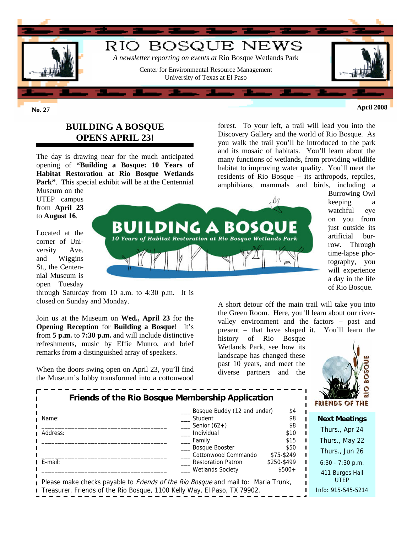

## **BUILDING A BOSQUE OPENS APRIL 23!**

The day is drawing near for the much anticipated opening of **"Building a Bosque: 10 Years of Habitat Restoration at Rio Bosque Wetlands Park"**. This special exhibit will be at the Centennial Museum on the

UTEP campus from **April 23** to **August 16**.

Ave. St., the Centennial Museum is Located at the corner of University and Wiggins open Tuesday

closed on Sunday and Monday. through Saturday from 10 a.m. to 4:30 p.m. It is

Join us at the Museum on **Wed., April 23** for the **Opening Reception** for **Building a Bosque**! It's from **5 p.m.** to **7:30 p.m.** and will include distinctive refreshments, music by Effie Munro, and brief remarks from a distinguished array of speakers.

When the doors swing open on April 23, you'll find the Museum's lobby transformed into a cottonwood



forest. To your left, a trail will lead you into the Discovery Gallery and the world of Rio Bosque. As you walk the trail you'll be introduced to the park and its mosaic of habitats. You'll learn about the many functions of wetlands, from providing wildlife habitat to improving water quality. You'll meet the residents of Rio Bosque – its arthropods, reptiles, amphibians, mammals and birds, including a

Burrowing Owl keeping a watchful eye on you from just outside its artificial burrow. Through time-lapse photography, you will experience a day in the life of Rio Bosque.

A short detour off the main trail will take you into the Green Room. Here, you'll learn about our rivervalley environment and the factors – past and present – that have shaped it. You'll learn the

history of Rio Bosque Wetlands Park, see how its landscape has changed these past 10 years, and meet the diverse partners and the



| <b>FITHING</b> OF the RIO BOSQUE Membership Application                                                                 |                                                          |                    | <b><i><u>All the second and a second</u></i></b><br><b>FRIENDS OF THE</b> |
|-------------------------------------------------------------------------------------------------------------------------|----------------------------------------------------------|--------------------|---------------------------------------------------------------------------|
| Name:                                                                                                                   | Bosque Buddy (12 and under)<br>Student<br>Senior $(62+)$ | \$4<br>\$8<br>\$8  | <b>Next Meetings</b>                                                      |
| Address:                                                                                                                | Individual                                               | \$10               | Thurs., Apr 24                                                            |
|                                                                                                                         | Family                                                   | \$15               | Thurs., May 22                                                            |
|                                                                                                                         | __ Bosque Booster<br>Cottonwood Commando                 | \$50<br>\$75-\$249 | Thurs., Jun 26                                                            |
| $I$ E-mail:                                                                                                             | <b>Restoration Patron</b>                                | \$250-\$499        | $6:30 - 7:30$ p.m.                                                        |
| Wetlands Society<br>$$500+$<br>Please make checks payable to <i>Friends of the Rio Bosque</i> and mail to: Maria Trunk, |                                                          |                    | 411 Burges Hall<br><b>UTEP</b>                                            |
| <b>I</b> Treasurer, Friends of the Rio Bosque, 1100 Kelly Way, El Paso, TX 79902.                                       |                                                          |                    | Info: 915-545-5214                                                        |

**Friends of the Rio Bosque Membership Application**